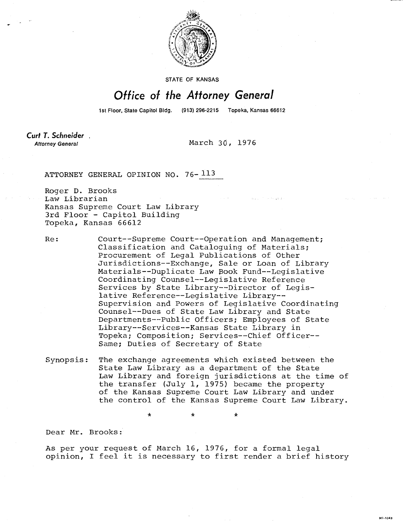

STATE OF KANSAS

## Office of the Attorney General

1st Floor, State Capitol Bldg. (913) 296-2215 Topeka, Kansas 66612

Curt T. Schneider. **Attorney General** 

March 30, 1976

ATTORNEY GENERAL OPINION NO. 76- 113

Roger D. Brooks Law Librarian Kansas Supreme Court Law Library 3rd Floor - Capitol Building Topeka, Kansas 66612

Re: Court--Supreme Court--Operation and Management; Classification and Cataloguing of Materials; Procurement of Legal Publications of Other Jurisdictions--Exchange, Sale or Loan of Library Materials--Duplicate Law Book Fund--Legislative Coordinating Counsel--Legislative Reference Services by State Library--Director of Legislative Reference--Legislative Library-- Supervision and Powers of Legislative Coordinating Counsel--Dues of State Law Library and State Departments--Public Officers; Employees of State Library--Services--Kansas State Library in Topeka; Composition; Services--Chief Officer-- Same; Duties of Secretary of State

Synopsis: The exchange agreements which existed between the State Law Library as a department of the State Law Library and foreign jurisdictions at the time of the transfer (July 1, 1975) became the property of the Kansas Supreme Court Law Library and under the control of the Kansas Supreme Court Law Library.

\*

Dear Mr. Brooks:

As per your request of March 16, 1976, for a formal legal opinion, I feel it is necessary to first render a brief history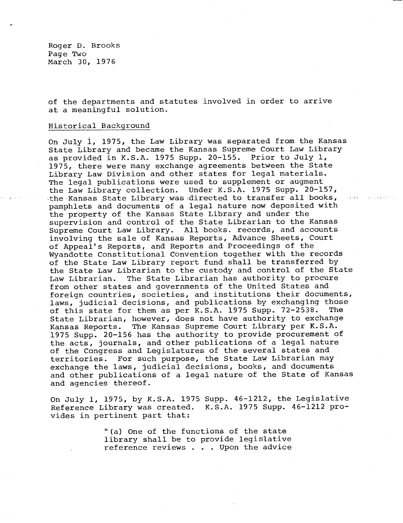Roger D. Brooks Page Two March 30, 1976

of the departments and statutes involved in order to arrive at a meaningful solution.

## Historical Background

On July 1, 1975, the Law Library was separated from the Kansas State Library and became the Kansas Supreme Court Law Library as provided in K.S.A. 1975 Supp. 20-155. Prior to July 1, 1975, there were many exchange agreements between the State Library Law Division and other states for legal materials. The legal publications were used to supplement or augment the Law Library collection. Under K.S.A. 1975 Supp. 20-157, the Kansas State Library was directed to transfer all books, pamphlets and documents of a legal nature now deposited with the property of the Kansas State Library and under the supervision and control of the State Librarian to the Kansas Supreme Court Law Library. All books. records, and accounts involving the sale of Kansas Reports, Advance Sheets, Court of Appeal's Reports, and Reports and Proceedings of the Wyandotte Constitutional Convention together with the records of the State Law Library report fund shall be transferred by the State Law Librarian to the custody and control of the State Law Librarian. The State Librarian has authority to procure from other states and governments of the United States and foreign countries, societies, and institutions their documents, laws, judicial decisions, and publications by exchanging those of this state for them as per K.S.A. 1975 Supp. 72-2538. The State Librarian, however, does not have authority to exchange Kansas Reports. The Kansas Supreme Court Library per K.S.A. 1975 Supp. 20-156 has the authority to provide procurement of the acts, journals, and other publications of a legal nature of the Congress and Legislatures of the several states and territories. For such purpose, the State Law Librarian may exchange the laws, judicial decisions, books, and documents and other publications of a legal nature of the State of Kansas and agencies thereof.

On July 1, 1975, by K.S.A. 1975 Supp. 46-1212, the Legislative Reference Library was created. K.S.A. 1975 Supp. 46-1212 provides in pertinent part that:

> "(a) One of the functions of the state library shall be to provide legislative reference reviews . . . Upon the advice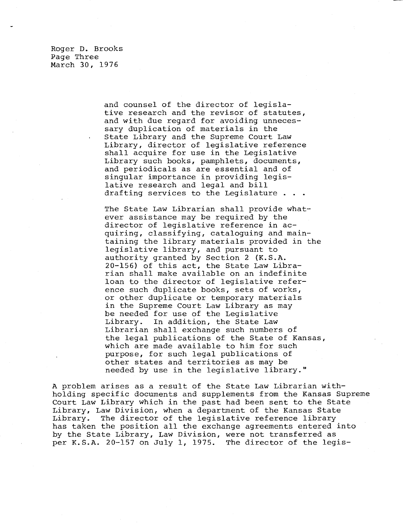Roger D. Brooks Page Three March 30, 1976

> and counsel of the director of legislative research and the revisor of statutes, and with due regard for avoiding unnecessary duplication of materials in the State Library and the Supreme Court Law Library, director of legislative reference shall acquire for use in the Legislative Library such books, pamphlets, documents, and periodicals as are essential and of singular importance in providing legislative research and legal and bill drafting services to the Legislature . .

The State Law Librarian shall provide whatever assistance may be required by the director of legislative reference in acquiring, classifying, cataloguing and maintaining the library materials provided in the legislative library, and pursuant to authority granted by Section 2 (K.S.A. 20-156) of this act, the State Law Librarian shall make available on an indefinite loan to the director of legislative reference such duplicate books, sets of works, or other duplicate or temporary materials in the Supreme Court Law Library as may be needed for use of the Legislative Library. In addition, the State Law Librarian shall exchange such numbers of the legal publications of the State of Kansas, which are made available to him for such purpose, for such legal publications of other states and territories as may be needed by use in the legislative library."

A problem arises as a result of the State Law Librarian withholding specific documents and supplements from the Kansas Supreme Court Law Library which in the past had been sent to the State Library, Law Division, when a department of the Kansas State Library. The director of the legislative reference library has taken the position all the exchange agreements entered into by the State Library, Law Division, were not transferred as per K.S.A. 20-157 on July 1, 1975. The director of the legis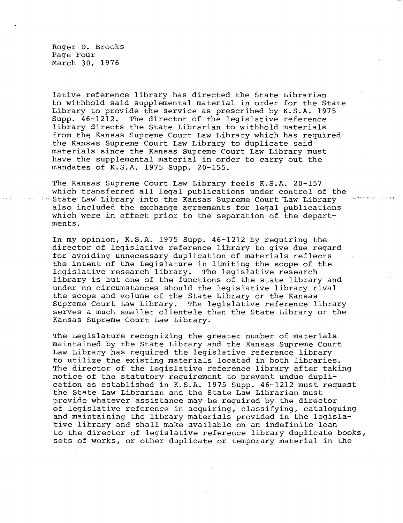Roger D. Brooks Page Four March 30, 1976

lative reference library has directed the State Librarian to withhold said supplemental material in order for the State Library to provide the service as prescribed by K.S.A. 1975 Supp. 46-1212. The director of the legislative reference library directs the State Librarian to withhold materials from the Kansas Supreme Court Law Library which has required the Kansas Supreme Court Law Library to duplicate said materials since the Kansas Supreme Court Law Library must have the supplemental material in order to carry out the mandates of K.S.A. 1975 Supp. 20-155.

The Kansas Supreme Court Law Library feels K.S.A. 20-157 which transferred all legal publications under control of the State Law Library into the Kansas Supreme Court Law Library also included the exchange agreements for legal publications which were in effect prior to the separation of the departments.

In my opinion, K.S.A. 1975 Supp. 46-1212 by requiring the director of legislative reference library to give due regard for avoiding unnecessary duplication of materials reflects the intent of the Legislature in limiting the scope of the legislative research library. The legislative research library is but one of the functions of the state library and under no circumstances should the legislative library rival the scope and volume of the State Library or the Kansas Supreme Court Law Library. The legislative reference library serves a much smaller clientele than the State Library or the Kansas Supreme Court Law Library.

The Legislature recognizing the greater number of materials maintained by the State Library and the Kansas Supreme Court Law Library has required the legislative reference library to utilize the existing materials located in both libraries. The director of the legislative reference library after taking notice of the statutory requirement to prevent undue duplication as established in K.S.A. 1975 Supp. 46-1212 must request the State Law Librarian and the State Law Librarian must provide whatever assistance may be required by the director of legislative reference in acquiring, classifying, cataloguing and maintaining the library materials provided in the legislative library and shall make available on an indefinite loan to the director of legislative reference library duplicate books, sets of works, or other duplicate or temporary material in the